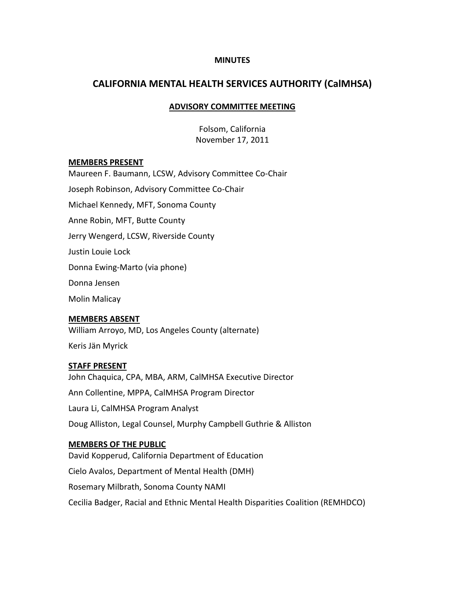#### **MINUTES**

# **CALIFORNIA MENTAL HEALTH SERVICES AUTHORITY (CalMHSA)**

### **ADVISORY COMMITTEE MEETING**

Folsom, California November 17, 2011

#### **MEMBERS PRESENT**

Maureen F. Baumann, LCSW, Advisory Committee Co-Chair Joseph Robinson, Advisory Committee Co-Chair Michael Kennedy, MFT, Sonoma County Anne Robin, MFT, Butte County Jerry Wengerd, LCSW, Riverside County Justin Louie Lock Donna Ewing-Marto (via phone) Donna Jensen Molin Malicay

#### **MEMBERS ABSENT**

William Arroyo, MD, Los Angeles County (alternate)

Keris Jän Myrick

#### **STAFF PRESENT**

John Chaquica, CPA, MBA, ARM, CalMHSA Executive Director Ann Collentine, MPPA, CalMHSA Program Director Laura Li, CalMHSA Program Analyst Doug Alliston, Legal Counsel, Murphy Campbell Guthrie & Alliston

### **MEMBERS OF THE PUBLIC**

David Kopperud, California Department of Education Cielo Avalos, Department of Mental Health (DMH) Rosemary Milbrath, Sonoma County NAMI Cecilia Badger, Racial and Ethnic Mental Health Disparities Coalition (REMHDCO)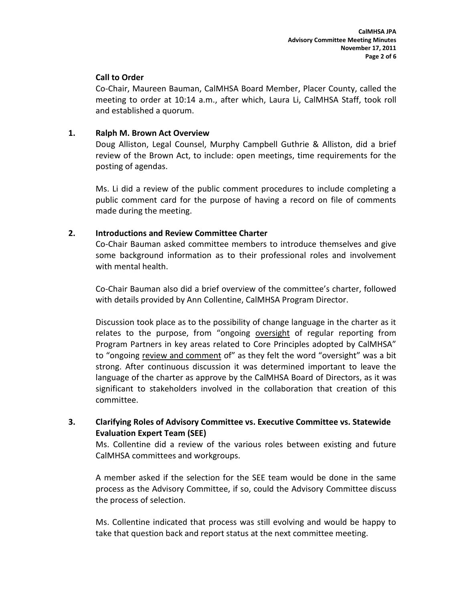### **Call to Order**

Co-Chair, Maureen Bauman, CalMHSA Board Member, Placer County, called the meeting to order at 10:14 a.m., after which, Laura Li, CalMHSA Staff, took roll and established a quorum.

### **1. Ralph M. Brown Act Overview**

Doug Alliston, Legal Counsel, Murphy Campbell Guthrie & Alliston, did a brief review of the Brown Act, to include: open meetings, time requirements for the posting of agendas.

Ms. Li did a review of the public comment procedures to include completing a public comment card for the purpose of having a record on file of comments made during the meeting.

## **2. Introductions and Review Committee Charter**

Co-Chair Bauman asked committee members to introduce themselves and give some background information as to their professional roles and involvement with mental health.

Co-Chair Bauman also did a brief overview of the committee's charter, followed with details provided by Ann Collentine, CalMHSA Program Director.

Discussion took place as to the possibility of change language in the charter as it relates to the purpose, from "ongoing oversight of regular reporting from Program Partners in key areas related to Core Principles adopted by CalMHSA" to "ongoing review and comment of" as they felt the word "oversight" was a bit strong. After continuous discussion it was determined important to leave the language of the charter as approve by the CalMHSA Board of Directors, as it was significant to stakeholders involved in the collaboration that creation of this committee.

## **3. Clarifying Roles of Advisory Committee vs. Executive Committee vs. Statewide Evaluation Expert Team (SEE)**

Ms. Collentine did a review of the various roles between existing and future CalMHSA committees and workgroups.

A member asked if the selection for the SEE team would be done in the same process as the Advisory Committee, if so, could the Advisory Committee discuss the process of selection.

Ms. Collentine indicated that process was still evolving and would be happy to take that question back and report status at the next committee meeting.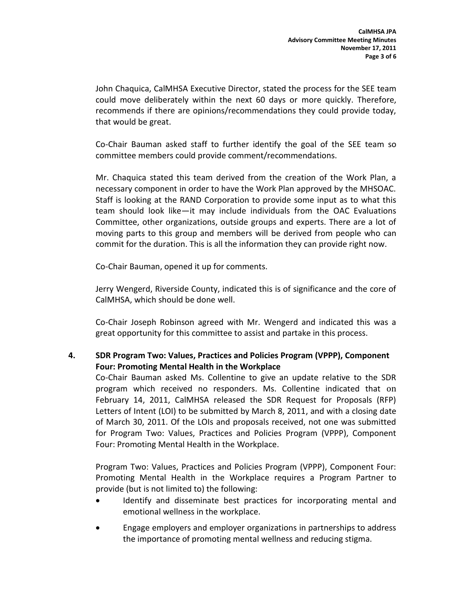John Chaquica, CalMHSA Executive Director, stated the process for the SEE team could move deliberately within the next 60 days or more quickly. Therefore, recommends if there are opinions/recommendations they could provide today, that would be great.

Co-Chair Bauman asked staff to further identify the goal of the SEE team so committee members could provide comment/recommendations.

Mr. Chaquica stated this team derived from the creation of the Work Plan, a necessary component in order to have the Work Plan approved by the MHSOAC. Staff is looking at the RAND Corporation to provide some input as to what this team should look like—it may include individuals from the OAC Evaluations Committee, other organizations, outside groups and experts. There are a lot of moving parts to this group and members will be derived from people who can commit for the duration. This is all the information they can provide right now.

Co-Chair Bauman, opened it up for comments.

Jerry Wengerd, Riverside County, indicated this is of significance and the core of CalMHSA, which should be done well.

Co-Chair Joseph Robinson agreed with Mr. Wengerd and indicated this was a great opportunity for this committee to assist and partake in this process.

## **4. SDR Program Two: Values, Practices and Policies Program (VPPP), Component Four: Promoting Mental Health in the Workplace**

Co-Chair Bauman asked Ms. Collentine to give an update relative to the SDR program which received no responders. Ms. Collentine indicated that on February 14, 2011, CalMHSA released the SDR Request for Proposals (RFP) Letters of Intent (LOI) to be submitted by March 8, 2011, and with a closing date of March 30, 2011. Of the LOIs and proposals received, not one was submitted for Program Two: Values, Practices and Policies Program (VPPP), Component Four: Promoting Mental Health in the Workplace.

Program Two: Values, Practices and Policies Program (VPPP), Component Four: Promoting Mental Health in the Workplace requires a Program Partner to provide (but is not limited to) the following:

- Identify and disseminate best practices for incorporating mental and emotional wellness in the workplace.
- Engage employers and employer organizations in partnerships to address the importance of promoting mental wellness and reducing stigma.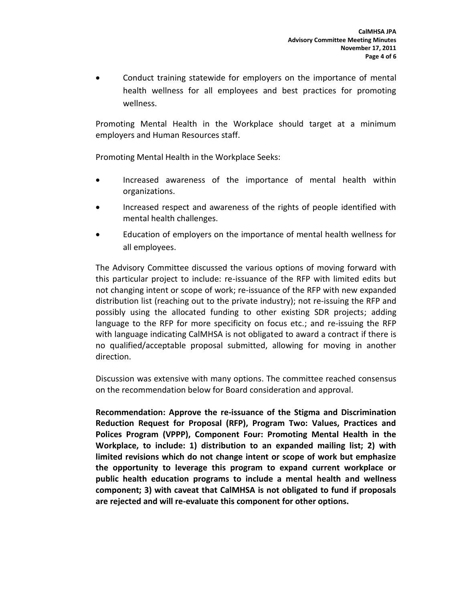Conduct training statewide for employers on the importance of mental health wellness for all employees and best practices for promoting wellness.

Promoting Mental Health in the Workplace should target at a minimum employers and Human Resources staff.

Promoting Mental Health in the Workplace Seeks:

- Increased awareness of the importance of mental health within organizations.
- Increased respect and awareness of the rights of people identified with mental health challenges.
- Education of employers on the importance of mental health wellness for all employees.

The Advisory Committee discussed the various options of moving forward with this particular project to include: re-issuance of the RFP with limited edits but not changing intent or scope of work; re-issuance of the RFP with new expanded distribution list (reaching out to the private industry); not re-issuing the RFP and possibly using the allocated funding to other existing SDR projects; adding language to the RFP for more specificity on focus etc.; and re-issuing the RFP with language indicating CalMHSA is not obligated to award a contract if there is no qualified/acceptable proposal submitted, allowing for moving in another direction.

Discussion was extensive with many options. The committee reached consensus on the recommendation below for Board consideration and approval.

**Recommendation: Approve the re-issuance of the Stigma and Discrimination Reduction Request for Proposal (RFP), Program Two: Values, Practices and Polices Program (VPPP), Component Four: Promoting Mental Health in the Workplace, to include: 1) distribution to an expanded mailing list; 2) with limited revisions which do not change intent or scope of work but emphasize the opportunity to leverage this program to expand current workplace or public health education programs to include a mental health and wellness component; 3) with caveat that CalMHSA is not obligated to fund if proposals are rejected and will re-evaluate this component for other options.**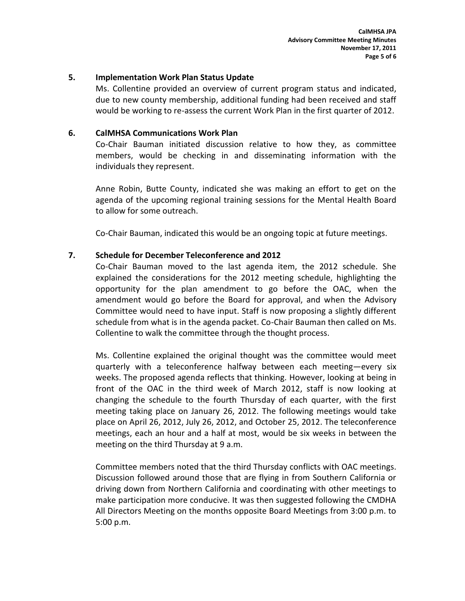#### **5. Implementation Work Plan Status Update**

Ms. Collentine provided an overview of current program status and indicated, due to new county membership, additional funding had been received and staff would be working to re-assess the current Work Plan in the first quarter of 2012.

### **6. CalMHSA Communications Work Plan**

Co-Chair Bauman initiated discussion relative to how they, as committee members, would be checking in and disseminating information with the individuals they represent.

Anne Robin, Butte County, indicated she was making an effort to get on the agenda of the upcoming regional training sessions for the Mental Health Board to allow for some outreach.

Co-Chair Bauman, indicated this would be an ongoing topic at future meetings.

#### **7. Schedule for December Teleconference and 2012**

Co-Chair Bauman moved to the last agenda item, the 2012 schedule. She explained the considerations for the 2012 meeting schedule, highlighting the opportunity for the plan amendment to go before the OAC, when the amendment would go before the Board for approval, and when the Advisory Committee would need to have input. Staff is now proposing a slightly different schedule from what is in the agenda packet. Co-Chair Bauman then called on Ms. Collentine to walk the committee through the thought process.

Ms. Collentine explained the original thought was the committee would meet quarterly with a teleconference halfway between each meeting—every six weeks. The proposed agenda reflects that thinking. However, looking at being in front of the OAC in the third week of March 2012, staff is now looking at changing the schedule to the fourth Thursday of each quarter, with the first meeting taking place on January 26, 2012. The following meetings would take place on April 26, 2012, July 26, 2012, and October 25, 2012. The teleconference meetings, each an hour and a half at most, would be six weeks in between the meeting on the third Thursday at 9 a.m.

Committee members noted that the third Thursday conflicts with OAC meetings. Discussion followed around those that are flying in from Southern California or driving down from Northern California and coordinating with other meetings to make participation more conducive. It was then suggested following the CMDHA All Directors Meeting on the months opposite Board Meetings from 3:00 p.m. to 5:00 p.m.